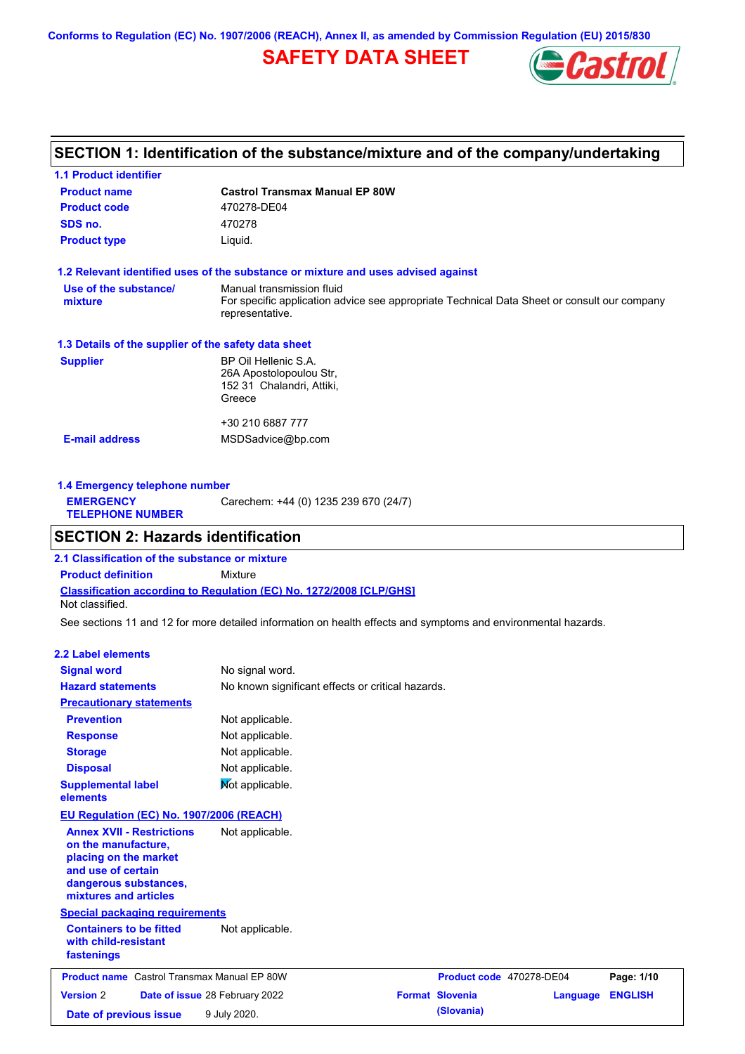**Conforms to Regulation (EC) No. 1907/2006 (REACH), Annex II, as amended by Commission Regulation (EU) 2015/830**

## **SAFETY DATA SHEET**



## **SECTION 1: Identification of the substance/mixture and of the company/undertaking**

| <b>1.1 Product identifier</b>                        |                                                                                                                                             |
|------------------------------------------------------|---------------------------------------------------------------------------------------------------------------------------------------------|
| <b>Product name</b>                                  | <b>Castrol Transmax Manual EP 80W</b>                                                                                                       |
| <b>Product code</b>                                  | 470278-DE04                                                                                                                                 |
| SDS no.                                              | 470278                                                                                                                                      |
| <b>Product type</b>                                  | Liquid.                                                                                                                                     |
|                                                      | 1.2 Relevant identified uses of the substance or mixture and uses advised against                                                           |
| Use of the substance/<br>mixture                     | Manual transmission fluid<br>For specific application advice see appropriate Technical Data Sheet or consult our company<br>representative. |
| 1.3 Details of the supplier of the safety data sheet |                                                                                                                                             |
| <b>Supplier</b>                                      | BP Oil Hellenic S.A.<br>26A Apostolopoulou Str,<br>152 31 Chalandri, Attiki,<br>Greece                                                      |
|                                                      | +30 210 6887 777                                                                                                                            |
| <b>E-mail address</b>                                | MSDSadvice@bp.com                                                                                                                           |
|                                                      |                                                                                                                                             |

| 1.4 Emergency telephone number              |                                       |  |  |  |
|---------------------------------------------|---------------------------------------|--|--|--|
| <b>EMERGENCY</b><br><b>TELEPHONE NUMBER</b> | Carechem: +44 (0) 1235 239 670 (24/7) |  |  |  |

## **SECTION 2: Hazards identification**

**Classification according to Regulation (EC) No. 1272/2008 [CLP/GHS] 2.1 Classification of the substance or mixture Product definition** Mixture Not classified.

See sections 11 and 12 for more detailed information on health effects and symptoms and environmental hazards.

### **2.2 Label elements**

| <b>Signal word</b>                                                                                                                                       | No signal word.                |                                                   |                          |          |                |
|----------------------------------------------------------------------------------------------------------------------------------------------------------|--------------------------------|---------------------------------------------------|--------------------------|----------|----------------|
| <b>Hazard statements</b>                                                                                                                                 |                                | No known significant effects or critical hazards. |                          |          |                |
| <b>Precautionary statements</b>                                                                                                                          |                                |                                                   |                          |          |                |
| <b>Prevention</b>                                                                                                                                        | Not applicable.                |                                                   |                          |          |                |
| <b>Response</b>                                                                                                                                          | Not applicable.                |                                                   |                          |          |                |
| <b>Storage</b>                                                                                                                                           | Not applicable.                |                                                   |                          |          |                |
| <b>Disposal</b>                                                                                                                                          | Not applicable.                |                                                   |                          |          |                |
| <b>Supplemental label</b><br>elements                                                                                                                    | Not applicable.                |                                                   |                          |          |                |
| EU Regulation (EC) No. 1907/2006 (REACH)                                                                                                                 |                                |                                                   |                          |          |                |
| <b>Annex XVII - Restrictions</b><br>on the manufacture,<br>placing on the market<br>and use of certain<br>dangerous substances,<br>mixtures and articles | Not applicable.                |                                                   |                          |          |                |
| <b>Special packaging requirements</b>                                                                                                                    |                                |                                                   |                          |          |                |
| <b>Containers to be fitted</b><br>with child-resistant<br>fastenings                                                                                     | Not applicable.                |                                                   |                          |          |                |
| <b>Product name</b> Castrol Transmax Manual EP 80W                                                                                                       |                                |                                                   | Product code 470278-DE04 |          | Page: 1/10     |
| <b>Version 2</b>                                                                                                                                         | Date of issue 28 February 2022 |                                                   | <b>Format Slovenia</b>   | Language | <b>ENGLISH</b> |
| Date of previous issue                                                                                                                                   | 9 July 2020.                   |                                                   | (Slovania)               |          |                |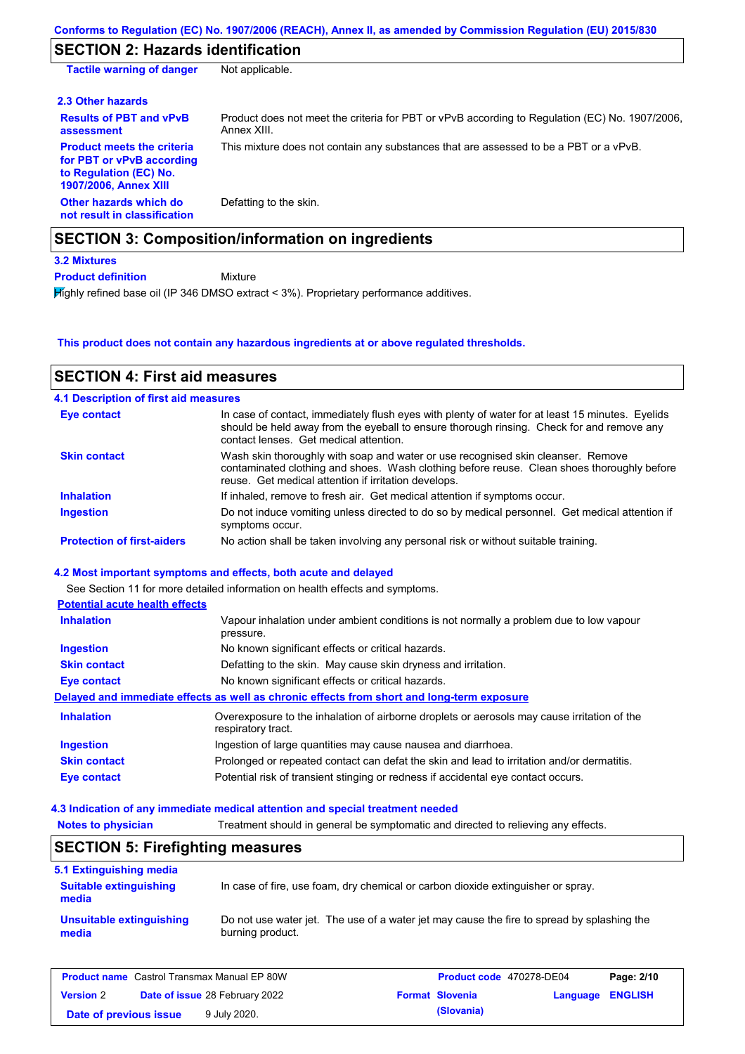## **SECTION 2: Hazards identification**

| <b>Tactile warning of danger</b>                                                                                         | Not applicable.                                                                                               |
|--------------------------------------------------------------------------------------------------------------------------|---------------------------------------------------------------------------------------------------------------|
| 2.3 Other hazards                                                                                                        |                                                                                                               |
| <b>Results of PBT and vPvB</b><br>assessment                                                                             | Product does not meet the criteria for PBT or vPvB according to Regulation (EC) No. 1907/2006,<br>Annex XIII. |
| <b>Product meets the criteria</b><br>for PBT or vPvB according<br>to Regulation (EC) No.<br><b>1907/2006, Annex XIII</b> | This mixture does not contain any substances that are assessed to be a PBT or a vPvB.                         |
| Other hazards which do<br>not result in classification                                                                   | Defatting to the skin.                                                                                        |
|                                                                                                                          | <b>SECTION 3: Composition/information on ingredients</b>                                                      |
| <b>3.2 Mixtures</b>                                                                                                      |                                                                                                               |
| <b>Product definition</b>                                                                                                | Mixture                                                                                                       |

Highly refined base oil (IP 346 DMSO extract < 3%). Proprietary performance additives.

**This product does not contain any hazardous ingredients at or above regulated thresholds.**

#### Do not induce vomiting unless directed to do so by medical personnel. Get medical attention if symptoms occur. In case of contact, immediately flush eyes with plenty of water for at least 15 minutes. Eyelids should be held away from the eyeball to ensure thorough rinsing. Check for and remove any contact lenses. Get medical attention. **4.1 Description of first aid measures** If inhaled, remove to fresh air. Get medical attention if symptoms occur. **Ingestion Inhalation Eye contact Protection of first-aiders** No action shall be taken involving any personal risk or without suitable training. **SECTION 4: First aid measures 4.2 Most important symptoms and effects, both acute and delayed 4.3 Indication of any immediate medical attention and special treatment needed Skin contact** Wash skin thoroughly with soap and water or use recognised skin cleanser. Remove contaminated clothing and shoes. Wash clothing before reuse. Clean shoes thoroughly before reuse. Get medical attention if irritation develops. See Section 11 for more detailed information on health effects and symptoms. **Potential acute health effects Inhalation** Vapour inhalation under ambient conditions is not normally a problem due to low vapour pressure. **Ingestion** No known significant effects or critical hazards. **Skin contact** Defatting to the skin. May cause skin dryness and irritation. **Eye contact** No known significant effects or critical hazards. **Delayed and immediate effects as well as chronic effects from short and long-term exposure Inhalation Ingestion Skin contact Eye contact** Overexposure to the inhalation of airborne droplets or aerosols may cause irritation of the respiratory tract. Ingestion of large quantities may cause nausea and diarrhoea. Prolonged or repeated contact can defat the skin and lead to irritation and/or dermatitis. Potential risk of transient stinging or redness if accidental eye contact occurs.

| <b>Notes to physician</b>                                         | Treatment should in general be symptomatic and directed to relieving any effects.                              |  |  |  |  |
|-------------------------------------------------------------------|----------------------------------------------------------------------------------------------------------------|--|--|--|--|
| <b>SECTION 5: Firefighting measures</b>                           |                                                                                                                |  |  |  |  |
| 5.1 Extinguishing media<br><b>Suitable extinguishing</b><br>media | In case of fire, use foam, dry chemical or carbon dioxide extinguisher or spray.                               |  |  |  |  |
| Unsuitable extinguishing<br>media                                 | Do not use water jet. The use of a water jet may cause the fire to spread by splashing the<br>burning product. |  |  |  |  |

|                        | <b>Product name</b> Castrol Transmax Manual EP 80W | Product code 470278-DE04 |                  | Page: 2/10 |
|------------------------|----------------------------------------------------|--------------------------|------------------|------------|
| <b>Version 2</b>       | <b>Date of issue 28 February 2022</b>              | <b>Format Slovenia</b>   | Language ENGLISH |            |
| Date of previous issue | 9 July 2020.                                       | (Slovania)               |                  |            |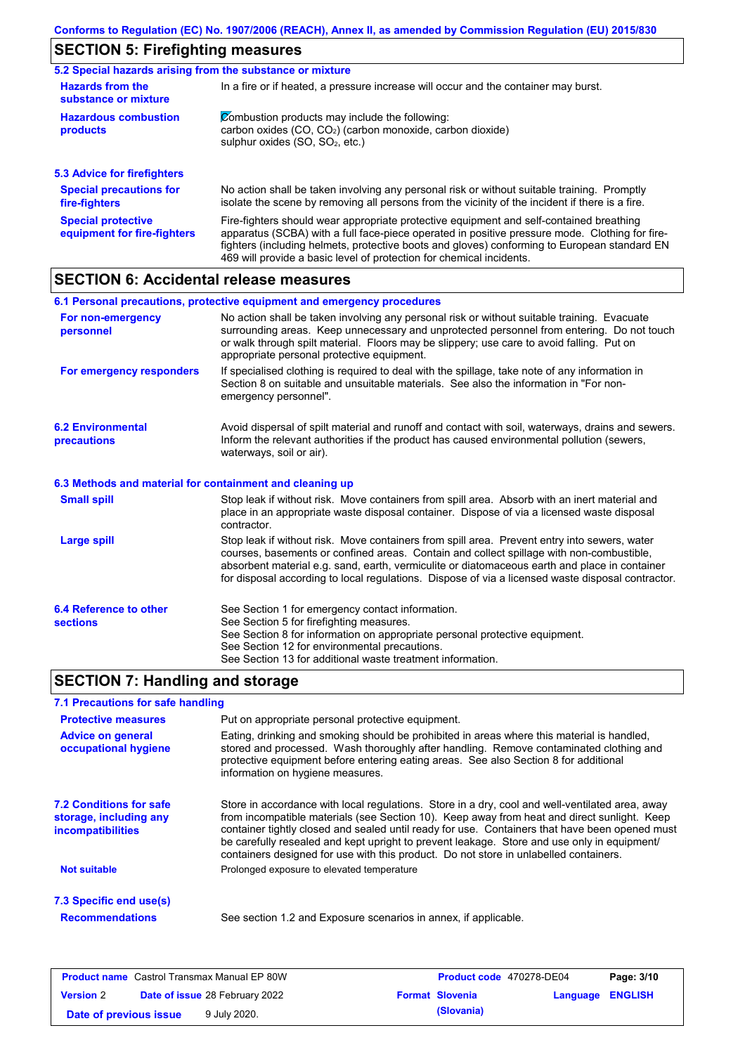# **SECTION 5: Firefighting measures**

| 5.2 Special hazards arising from the substance or mixture |                                                                                                                                                                                                                                                                                                                                                                   |  |  |  |  |  |
|-----------------------------------------------------------|-------------------------------------------------------------------------------------------------------------------------------------------------------------------------------------------------------------------------------------------------------------------------------------------------------------------------------------------------------------------|--|--|--|--|--|
| <b>Hazards from the</b><br>substance or mixture           | In a fire or if heated, a pressure increase will occur and the container may burst.                                                                                                                                                                                                                                                                               |  |  |  |  |  |
| <b>Hazardous combustion</b><br>products                   | Combustion products may include the following:<br>carbon oxides (CO, CO <sub>2</sub> ) (carbon monoxide, carbon dioxide)<br>sulphur oxides (SO, SO <sub>2</sub> , etc.)                                                                                                                                                                                           |  |  |  |  |  |
| <b>5.3 Advice for firefighters</b>                        |                                                                                                                                                                                                                                                                                                                                                                   |  |  |  |  |  |
| <b>Special precautions for</b><br>fire-fighters           | No action shall be taken involving any personal risk or without suitable training. Promptly<br>isolate the scene by removing all persons from the vicinity of the incident if there is a fire.                                                                                                                                                                    |  |  |  |  |  |
| <b>Special protective</b><br>equipment for fire-fighters  | Fire-fighters should wear appropriate protective equipment and self-contained breathing<br>apparatus (SCBA) with a full face-piece operated in positive pressure mode. Clothing for fire-<br>fighters (including helmets, protective boots and gloves) conforming to European standard EN<br>469 will provide a basic level of protection for chemical incidents. |  |  |  |  |  |

## **SECTION 6: Accidental release measures**

|                                                          | 6.1 Personal precautions, protective equipment and emergency procedures                                                                                                                                                                                                                                                                                                                        |
|----------------------------------------------------------|------------------------------------------------------------------------------------------------------------------------------------------------------------------------------------------------------------------------------------------------------------------------------------------------------------------------------------------------------------------------------------------------|
| For non-emergency<br>personnel                           | No action shall be taken involving any personal risk or without suitable training. Evacuate<br>surrounding areas. Keep unnecessary and unprotected personnel from entering. Do not touch<br>or walk through spilt material. Floors may be slippery; use care to avoid falling. Put on<br>appropriate personal protective equipment.                                                            |
| For emergency responders                                 | If specialised clothing is required to deal with the spillage, take note of any information in<br>Section 8 on suitable and unsuitable materials. See also the information in "For non-<br>emergency personnel".                                                                                                                                                                               |
| <b>6.2 Environmental</b><br>precautions                  | Avoid dispersal of spilt material and runoff and contact with soil, waterways, drains and sewers.<br>Inform the relevant authorities if the product has caused environmental pollution (sewers,<br>waterways, soil or air).                                                                                                                                                                    |
| 6.3 Methods and material for containment and cleaning up |                                                                                                                                                                                                                                                                                                                                                                                                |
| <b>Small spill</b>                                       | Stop leak if without risk. Move containers from spill area. Absorb with an inert material and<br>place in an appropriate waste disposal container. Dispose of via a licensed waste disposal<br>contractor.                                                                                                                                                                                     |
| Large spill                                              | Stop leak if without risk. Move containers from spill area. Prevent entry into sewers, water<br>courses, basements or confined areas. Contain and collect spillage with non-combustible,<br>absorbent material e.g. sand, earth, vermiculite or diatomaceous earth and place in container<br>for disposal according to local regulations. Dispose of via a licensed waste disposal contractor. |
| 6.4 Reference to other<br><b>sections</b>                | See Section 1 for emergency contact information.<br>See Section 5 for firefighting measures.<br>See Section 8 for information on appropriate personal protective equipment.<br>See Section 12 for environmental precautions.<br>See Section 13 for additional waste treatment information.                                                                                                     |

## **SECTION 7: Handling and storage**

### **7.1 Precautions for safe handling**

| Put on appropriate personal protective equipment.<br><b>Protective measures</b> |                                                                                                                                                                                                                                                                                                                                                                                                                                                                                          |  |  |  |
|---------------------------------------------------------------------------------|------------------------------------------------------------------------------------------------------------------------------------------------------------------------------------------------------------------------------------------------------------------------------------------------------------------------------------------------------------------------------------------------------------------------------------------------------------------------------------------|--|--|--|
| <b>Advice on general</b><br>occupational hygiene                                | Eating, drinking and smoking should be prohibited in areas where this material is handled,<br>stored and processed. Wash thoroughly after handling. Remove contaminated clothing and<br>protective equipment before entering eating areas. See also Section 8 for additional<br>information on hygiene measures.                                                                                                                                                                         |  |  |  |
| <b>7.2 Conditions for safe</b><br>storage, including any<br>incompatibilities   | Store in accordance with local requiations. Store in a dry, cool and well-ventilated area, away<br>from incompatible materials (see Section 10). Keep away from heat and direct sunlight. Keep<br>container tightly closed and sealed until ready for use. Containers that have been opened must<br>be carefully resealed and kept upright to prevent leakage. Store and use only in equipment/<br>containers designed for use with this product. Do not store in unlabelled containers. |  |  |  |
| <b>Not suitable</b>                                                             | Prolonged exposure to elevated temperature                                                                                                                                                                                                                                                                                                                                                                                                                                               |  |  |  |
| 7.3 Specific end use(s)                                                         |                                                                                                                                                                                                                                                                                                                                                                                                                                                                                          |  |  |  |
| <b>Recommendations</b>                                                          | See section 1.2 and Exposure scenarios in annex, if applicable.                                                                                                                                                                                                                                                                                                                                                                                                                          |  |  |  |
|                                                                                 |                                                                                                                                                                                                                                                                                                                                                                                                                                                                                          |  |  |  |

| <b>Product name</b> Castrol Transmax Manual EP 80W |  |                                       | <b>Product code</b> 470278-DE04 |                        | Page: 3/10       |  |
|----------------------------------------------------|--|---------------------------------------|---------------------------------|------------------------|------------------|--|
| <b>Version 2</b>                                   |  | <b>Date of issue 28 February 2022</b> |                                 | <b>Format Slovenia</b> | Language ENGLISH |  |
| Date of previous issue                             |  | 9 July 2020.                          |                                 | (Slovania)             |                  |  |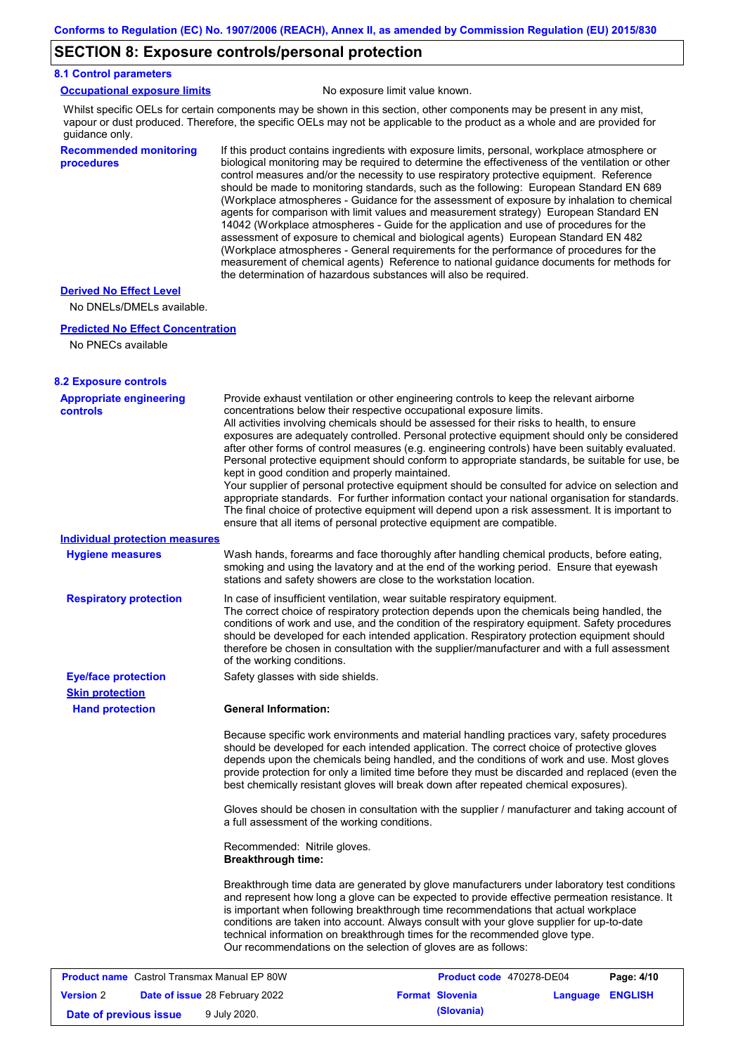## **SECTION 8: Exposure controls/personal protection**

#### **8.1 Control parameters**

|  | <b>Occupational exposure limits</b> |  |
|--|-------------------------------------|--|
|  |                                     |  |

No exposure limit value known.

Whilst specific OELs for certain components may be shown in this section, other components may be present in any mist, vapour or dust produced. Therefore, the specific OELs may not be applicable to the product as a whole and are provided for guidance only.

#### **Recommended monitoring procedures**

If this product contains ingredients with exposure limits, personal, workplace atmosphere or biological monitoring may be required to determine the effectiveness of the ventilation or other control measures and/or the necessity to use respiratory protective equipment. Reference should be made to monitoring standards, such as the following: European Standard EN 689 (Workplace atmospheres - Guidance for the assessment of exposure by inhalation to chemical agents for comparison with limit values and measurement strategy) European Standard EN 14042 (Workplace atmospheres - Guide for the application and use of procedures for the assessment of exposure to chemical and biological agents) European Standard EN 482 (Workplace atmospheres - General requirements for the performance of procedures for the measurement of chemical agents) Reference to national guidance documents for methods for the determination of hazardous substances will also be required.

#### **Derived No Effect Level**

No DNELs/DMELs available.

#### **Predicted No Effect Concentration**

```
No PNECs available
```

| <b>8.2 Exposure controls</b>                       |                                                           |                                                                                                                                                                                                                                                                                                                                                                                                                                                                                                                                                                                                                                                                                                                                                                                                                                                                                                                                                      |                         |
|----------------------------------------------------|-----------------------------------------------------------|------------------------------------------------------------------------------------------------------------------------------------------------------------------------------------------------------------------------------------------------------------------------------------------------------------------------------------------------------------------------------------------------------------------------------------------------------------------------------------------------------------------------------------------------------------------------------------------------------------------------------------------------------------------------------------------------------------------------------------------------------------------------------------------------------------------------------------------------------------------------------------------------------------------------------------------------------|-------------------------|
| <b>Appropriate engineering</b><br><b>controls</b>  | kept in good condition and properly maintained.           | Provide exhaust ventilation or other engineering controls to keep the relevant airborne<br>concentrations below their respective occupational exposure limits.<br>All activities involving chemicals should be assessed for their risks to health, to ensure<br>exposures are adequately controlled. Personal protective equipment should only be considered<br>after other forms of control measures (e.g. engineering controls) have been suitably evaluated.<br>Personal protective equipment should conform to appropriate standards, be suitable for use, be<br>Your supplier of personal protective equipment should be consulted for advice on selection and<br>appropriate standards. For further information contact your national organisation for standards.<br>The final choice of protective equipment will depend upon a risk assessment. It is important to<br>ensure that all items of personal protective equipment are compatible. |                         |
| <b>Individual protection measures</b>              |                                                           |                                                                                                                                                                                                                                                                                                                                                                                                                                                                                                                                                                                                                                                                                                                                                                                                                                                                                                                                                      |                         |
| <b>Hygiene measures</b>                            |                                                           | Wash hands, forearms and face thoroughly after handling chemical products, before eating,<br>smoking and using the lavatory and at the end of the working period. Ensure that eyewash<br>stations and safety showers are close to the workstation location.                                                                                                                                                                                                                                                                                                                                                                                                                                                                                                                                                                                                                                                                                          |                         |
| <b>Respiratory protection</b>                      | of the working conditions.                                | In case of insufficient ventilation, wear suitable respiratory equipment.<br>The correct choice of respiratory protection depends upon the chemicals being handled, the<br>conditions of work and use, and the condition of the respiratory equipment. Safety procedures<br>should be developed for each intended application. Respiratory protection equipment should<br>therefore be chosen in consultation with the supplier/manufacturer and with a full assessment                                                                                                                                                                                                                                                                                                                                                                                                                                                                              |                         |
| <b>Eye/face protection</b>                         | Safety glasses with side shields.                         |                                                                                                                                                                                                                                                                                                                                                                                                                                                                                                                                                                                                                                                                                                                                                                                                                                                                                                                                                      |                         |
| <b>Skin protection</b>                             |                                                           |                                                                                                                                                                                                                                                                                                                                                                                                                                                                                                                                                                                                                                                                                                                                                                                                                                                                                                                                                      |                         |
| <b>Hand protection</b>                             | <b>General Information:</b>                               |                                                                                                                                                                                                                                                                                                                                                                                                                                                                                                                                                                                                                                                                                                                                                                                                                                                                                                                                                      |                         |
|                                                    |                                                           | Because specific work environments and material handling practices vary, safety procedures<br>should be developed for each intended application. The correct choice of protective gloves<br>depends upon the chemicals being handled, and the conditions of work and use. Most gloves<br>provide protection for only a limited time before they must be discarded and replaced (even the<br>best chemically resistant gloves will break down after repeated chemical exposures).                                                                                                                                                                                                                                                                                                                                                                                                                                                                     |                         |
|                                                    | a full assessment of the working conditions.              | Gloves should be chosen in consultation with the supplier / manufacturer and taking account of                                                                                                                                                                                                                                                                                                                                                                                                                                                                                                                                                                                                                                                                                                                                                                                                                                                       |                         |
|                                                    | Recommended: Nitrile gloves.<br><b>Breakthrough time:</b> |                                                                                                                                                                                                                                                                                                                                                                                                                                                                                                                                                                                                                                                                                                                                                                                                                                                                                                                                                      |                         |
|                                                    |                                                           | Breakthrough time data are generated by glove manufacturers under laboratory test conditions<br>and represent how long a glove can be expected to provide effective permeation resistance. It<br>is important when following breakthrough time recommendations that actual workplace<br>conditions are taken into account. Always consult with your glove supplier for up-to-date<br>technical information on breakthrough times for the recommended glove type.<br>Our recommendations on the selection of gloves are as follows:                                                                                                                                                                                                                                                                                                                                                                                                                   |                         |
| <b>Product name</b> Castrol Transmax Manual EP 80W |                                                           | Product code 470278-DE04                                                                                                                                                                                                                                                                                                                                                                                                                                                                                                                                                                                                                                                                                                                                                                                                                                                                                                                             | Page: 4/10              |
| <b>Version 2</b>                                   | Date of issue 28 February 2022                            | <b>Format Slovenia</b>                                                                                                                                                                                                                                                                                                                                                                                                                                                                                                                                                                                                                                                                                                                                                                                                                                                                                                                               | <b>Language ENGLISH</b> |

**Date of previous issue 9 July 2020. (Slovania) (Slovania)**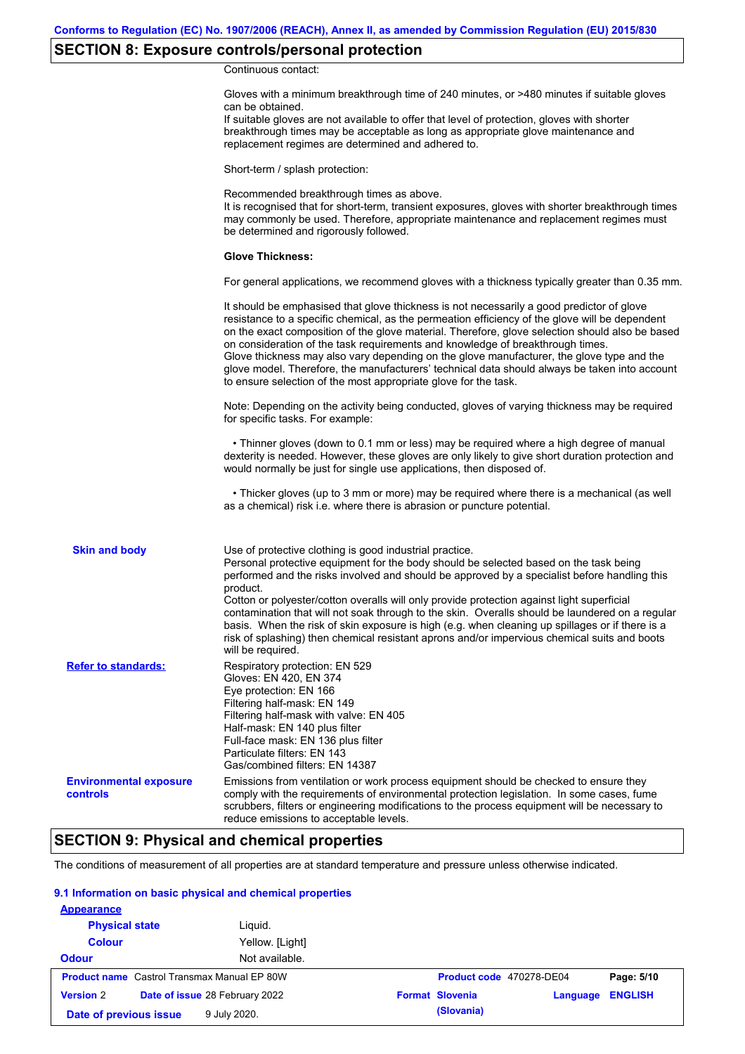## **SECTION 8: Exposure controls/personal protection**

Continuous contact:

|                                                  | Gloves with a minimum breakthrough time of 240 minutes, or >480 minutes if suitable gloves<br>can be obtained.<br>If suitable gloves are not available to offer that level of protection, gloves with shorter<br>breakthrough times may be acceptable as long as appropriate glove maintenance and<br>replacement regimes are determined and adhered to.                                                                                                                                                                                                                                                                                                         |
|--------------------------------------------------|------------------------------------------------------------------------------------------------------------------------------------------------------------------------------------------------------------------------------------------------------------------------------------------------------------------------------------------------------------------------------------------------------------------------------------------------------------------------------------------------------------------------------------------------------------------------------------------------------------------------------------------------------------------|
|                                                  | Short-term / splash protection:                                                                                                                                                                                                                                                                                                                                                                                                                                                                                                                                                                                                                                  |
|                                                  | Recommended breakthrough times as above.<br>It is recognised that for short-term, transient exposures, gloves with shorter breakthrough times<br>may commonly be used. Therefore, appropriate maintenance and replacement regimes must<br>be determined and rigorously followed.                                                                                                                                                                                                                                                                                                                                                                                 |
|                                                  | <b>Glove Thickness:</b>                                                                                                                                                                                                                                                                                                                                                                                                                                                                                                                                                                                                                                          |
|                                                  | For general applications, we recommend gloves with a thickness typically greater than 0.35 mm.                                                                                                                                                                                                                                                                                                                                                                                                                                                                                                                                                                   |
|                                                  | It should be emphasised that glove thickness is not necessarily a good predictor of glove<br>resistance to a specific chemical, as the permeation efficiency of the glove will be dependent<br>on the exact composition of the glove material. Therefore, glove selection should also be based<br>on consideration of the task requirements and knowledge of breakthrough times.<br>Glove thickness may also vary depending on the glove manufacturer, the glove type and the<br>glove model. Therefore, the manufacturers' technical data should always be taken into account<br>to ensure selection of the most appropriate glove for the task.                |
|                                                  | Note: Depending on the activity being conducted, gloves of varying thickness may be required<br>for specific tasks. For example:                                                                                                                                                                                                                                                                                                                                                                                                                                                                                                                                 |
|                                                  | • Thinner gloves (down to 0.1 mm or less) may be required where a high degree of manual<br>dexterity is needed. However, these gloves are only likely to give short duration protection and<br>would normally be just for single use applications, then disposed of.                                                                                                                                                                                                                                                                                                                                                                                             |
|                                                  | • Thicker gloves (up to 3 mm or more) may be required where there is a mechanical (as well<br>as a chemical) risk i.e. where there is abrasion or puncture potential.                                                                                                                                                                                                                                                                                                                                                                                                                                                                                            |
| <b>Skin and body</b>                             | Use of protective clothing is good industrial practice.<br>Personal protective equipment for the body should be selected based on the task being<br>performed and the risks involved and should be approved by a specialist before handling this<br>product.<br>Cotton or polyester/cotton overalls will only provide protection against light superficial<br>contamination that will not soak through to the skin. Overalls should be laundered on a regular<br>basis. When the risk of skin exposure is high (e.g. when cleaning up spillages or if there is a<br>risk of splashing) then chemical resistant aprons and/or impervious chemical suits and boots |
| <b>Refer to standards:</b>                       | will be required.<br>Respiratory protection: EN 529<br>Gloves: EN 420, EN 374<br>Eye protection: EN 166<br>Filtering half-mask: EN 149<br>Filtering half-mask with valve: EN 405<br>Half-mask: EN 140 plus filter<br>Full-face mask: EN 136 plus filter<br>Particulate filters: EN 143<br>Gas/combined filters: EN 14387                                                                                                                                                                                                                                                                                                                                         |
| <b>Environmental exposure</b><br><b>controls</b> | Emissions from ventilation or work process equipment should be checked to ensure they<br>comply with the requirements of environmental protection legislation. In some cases, fume<br>scrubbers, filters or engineering modifications to the process equipment will be necessary to<br>reduce emissions to acceptable levels.                                                                                                                                                                                                                                                                                                                                    |

## **SECTION 9: Physical and chemical properties**

The conditions of measurement of all properties are at standard temperature and pressure unless otherwise indicated.

### **9.1 Information on basic physical and chemical properties**

| <b>Appearance</b>      |                                                    |                          |          |                |
|------------------------|----------------------------------------------------|--------------------------|----------|----------------|
| <b>Physical state</b>  | Liguid.                                            |                          |          |                |
| <b>Colour</b>          | Yellow. [Light]                                    |                          |          |                |
| <b>Odour</b>           | Not available.                                     |                          |          |                |
|                        | <b>Product name</b> Castrol Transmax Manual EP 80W | Product code 470278-DE04 |          | Page: 5/10     |
| <b>Version 2</b>       | Date of issue 28 February 2022                     | <b>Format Slovenia</b>   | Language | <b>ENGLISH</b> |
| Date of previous issue | 9 July 2020.                                       | (Slovania)               |          |                |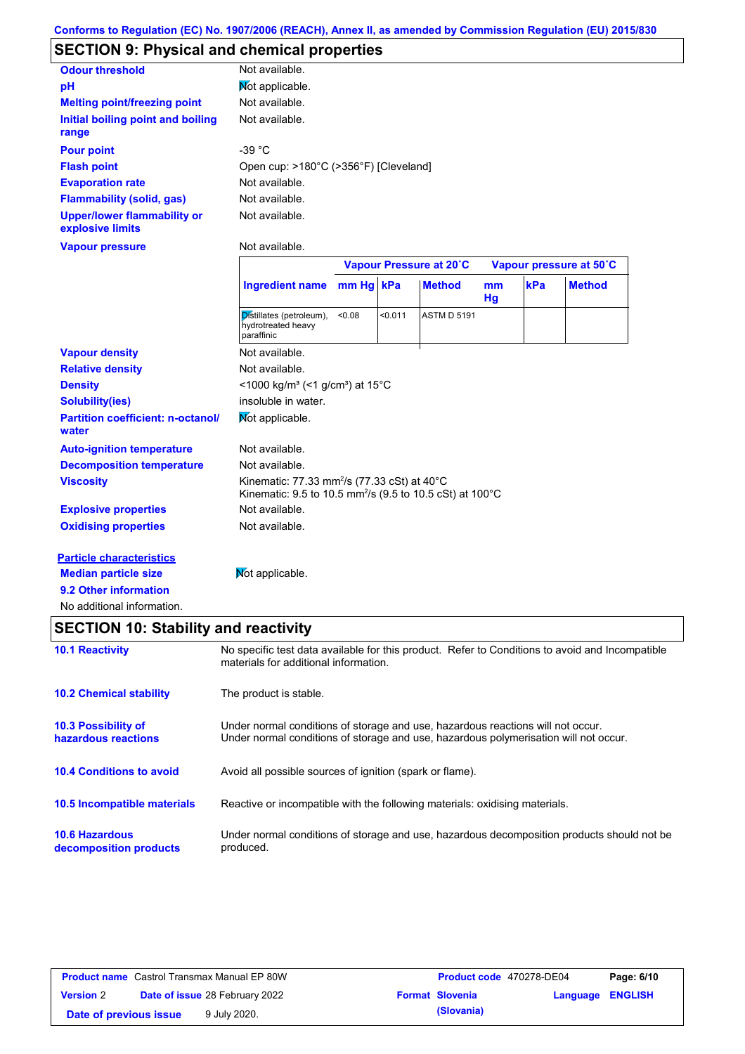# **SECTION 9: Physical and chemical properties**

| <b>Odour threshold</b>                                 | Not available.                        |
|--------------------------------------------------------|---------------------------------------|
| рH                                                     | Mot applicable.                       |
| <b>Melting point/freezing point</b>                    | Not available.                        |
| Initial boiling point and boiling<br>range             | Not available.                        |
| <b>Pour point</b>                                      | -39 °C                                |
| <b>Flash point</b>                                     | Open cup: >180°C (>356°F) [Cleveland] |
| <b>Evaporation rate</b>                                | Not available.                        |
| <b>Flammability (solid, gas)</b>                       | Not available.                        |
| <b>Upper/lower flammability or</b><br>explosive limits | Not available.                        |

**Vapour pressure**

Not available.

|                                                   |                                                                                                                                             | Vapour Pressure at 20°C |         |                    | Vapour pressure at 50°C |     |               |
|---------------------------------------------------|---------------------------------------------------------------------------------------------------------------------------------------------|-------------------------|---------|--------------------|-------------------------|-----|---------------|
|                                                   | <b>Ingredient name</b>                                                                                                                      | mm Hg kPa               |         | <b>Method</b>      | mm<br>Hg                | kPa | <b>Method</b> |
|                                                   | Distillates (petroleum),<br>hydrotreated heavy<br>paraffinic                                                                                | < 0.08                  | < 0.011 | <b>ASTM D 5191</b> |                         |     |               |
| <b>Vapour density</b>                             | Not available.                                                                                                                              |                         |         |                    |                         |     |               |
| <b>Relative density</b>                           | Not available.                                                                                                                              |                         |         |                    |                         |     |               |
| <b>Density</b>                                    | <1000 kg/m <sup>3</sup> (<1 g/cm <sup>3</sup> ) at 15 <sup>°</sup> C                                                                        |                         |         |                    |                         |     |               |
| <b>Solubility(ies)</b>                            | insoluble in water.                                                                                                                         |                         |         |                    |                         |     |               |
| <b>Partition coefficient: n-octanol/</b><br>water | Not applicable.                                                                                                                             |                         |         |                    |                         |     |               |
| <b>Auto-ignition temperature</b>                  | Not available.                                                                                                                              |                         |         |                    |                         |     |               |
| <b>Decomposition temperature</b>                  | Not available.                                                                                                                              |                         |         |                    |                         |     |               |
| <b>Viscosity</b>                                  | Kinematic: 77.33 mm <sup>2</sup> /s (77.33 cSt) at 40 $^{\circ}$ C<br>Kinematic: 9.5 to 10.5 mm <sup>2</sup> /s (9.5 to 10.5 cSt) at 100 °C |                         |         |                    |                         |     |               |
| <b>Explosive properties</b>                       | Not available.                                                                                                                              |                         |         |                    |                         |     |               |
| <b>Oxidising properties</b>                       | Not available.                                                                                                                              |                         |         |                    |                         |     |               |
| <b>Particle characteristics</b>                   |                                                                                                                                             |                         |         |                    |                         |     |               |
| <b>Median particle size</b>                       | Not applicable.                                                                                                                             |                         |         |                    |                         |     |               |

**9.2 Other information**

No additional information.

## **SECTION 10: Stability and reactivity**

| <b>10.1 Reactivity</b>                            | No specific test data available for this product. Refer to Conditions to avoid and Incompatible<br>materials for additional information.                                |
|---------------------------------------------------|-------------------------------------------------------------------------------------------------------------------------------------------------------------------------|
| <b>10.2 Chemical stability</b>                    | The product is stable.                                                                                                                                                  |
| <b>10.3 Possibility of</b><br>hazardous reactions | Under normal conditions of storage and use, hazardous reactions will not occur.<br>Under normal conditions of storage and use, hazardous polymerisation will not occur. |
| <b>10.4 Conditions to avoid</b>                   | Avoid all possible sources of ignition (spark or flame).                                                                                                                |
| <b>10.5 Incompatible materials</b>                | Reactive or incompatible with the following materials: oxidising materials.                                                                                             |
| <b>10.6 Hazardous</b><br>decomposition products   | Under normal conditions of storage and use, hazardous decomposition products should not be<br>produced.                                                                 |

| <b>Product name</b> Castrol Transmax Manual EP 80W |  |                                       | <b>Product code</b> 470278-DE04 |                        | Page: 6/10              |  |
|----------------------------------------------------|--|---------------------------------------|---------------------------------|------------------------|-------------------------|--|
| <b>Version 2</b>                                   |  | <b>Date of issue 28 February 2022</b> |                                 | <b>Format Slovenia</b> | <b>Language ENGLISH</b> |  |
| Date of previous issue                             |  | 9 July 2020.                          |                                 | (Slovania)             |                         |  |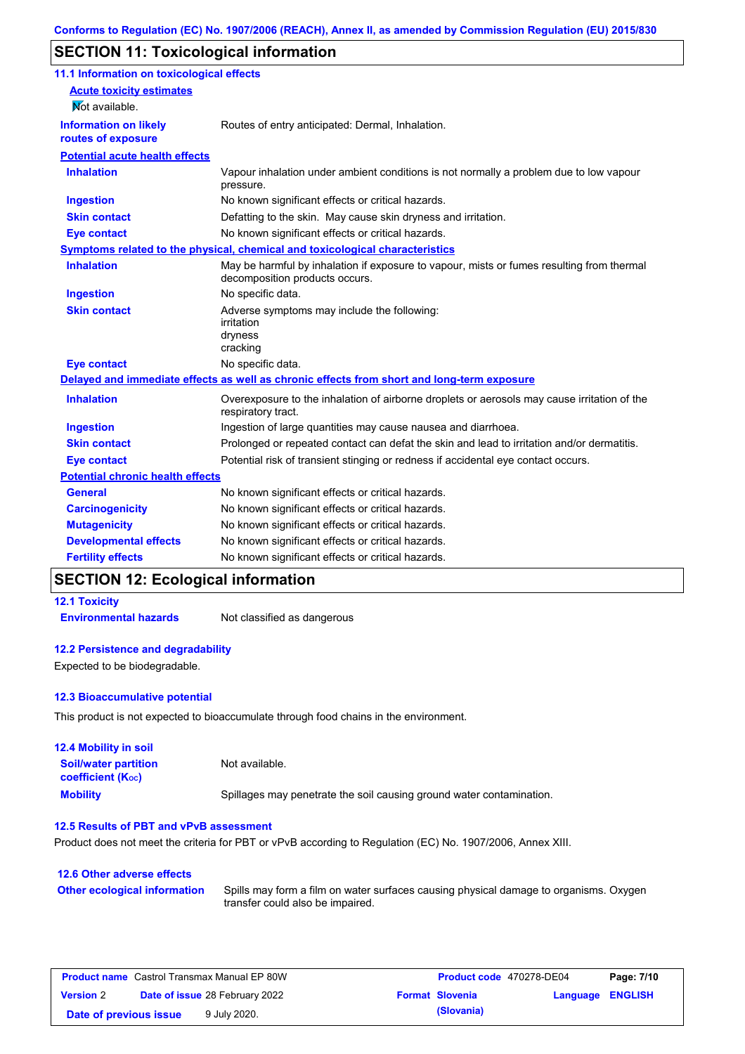## **SECTION 11: Toxicological information**

| 11.1 Information on toxicological effects          |                                                                                                                             |
|----------------------------------------------------|-----------------------------------------------------------------------------------------------------------------------------|
| <b>Acute toxicity estimates</b>                    |                                                                                                                             |
| Mot available.                                     |                                                                                                                             |
| <b>Information on likely</b><br>routes of exposure | Routes of entry anticipated: Dermal, Inhalation.                                                                            |
| <b>Potential acute health effects</b>              |                                                                                                                             |
| <b>Inhalation</b>                                  | Vapour inhalation under ambient conditions is not normally a problem due to low vapour<br>pressure.                         |
| <b>Ingestion</b>                                   | No known significant effects or critical hazards.                                                                           |
| <b>Skin contact</b>                                | Defatting to the skin. May cause skin dryness and irritation.                                                               |
| <b>Eye contact</b>                                 | No known significant effects or critical hazards.                                                                           |
|                                                    | Symptoms related to the physical, chemical and toxicological characteristics                                                |
| <b>Inhalation</b>                                  | May be harmful by inhalation if exposure to vapour, mists or fumes resulting from thermal<br>decomposition products occurs. |
| <b>Ingestion</b>                                   | No specific data.                                                                                                           |
| <b>Skin contact</b>                                | Adverse symptoms may include the following:<br>irritation<br>dryness<br>cracking                                            |
| <b>Eye contact</b>                                 | No specific data.                                                                                                           |
|                                                    | Delayed and immediate effects as well as chronic effects from short and long-term exposure                                  |
| <b>Inhalation</b>                                  | Overexposure to the inhalation of airborne droplets or aerosols may cause irritation of the<br>respiratory tract.           |
| <b>Ingestion</b>                                   | Ingestion of large quantities may cause nausea and diarrhoea.                                                               |
| <b>Skin contact</b>                                | Prolonged or repeated contact can defat the skin and lead to irritation and/or dermatitis.                                  |
| <b>Eye contact</b>                                 | Potential risk of transient stinging or redness if accidental eye contact occurs.                                           |
| <b>Potential chronic health effects</b>            |                                                                                                                             |
| <b>General</b>                                     | No known significant effects or critical hazards.                                                                           |
| <b>Carcinogenicity</b>                             | No known significant effects or critical hazards.                                                                           |
| <b>Mutagenicity</b>                                | No known significant effects or critical hazards.                                                                           |
| <b>Developmental effects</b>                       | No known significant effects or critical hazards.                                                                           |
| <b>Fertility effects</b>                           | No known significant effects or critical hazards.                                                                           |

## **SECTION 12: Ecological information**

## **12.1 Toxicity**

**Environmental hazards** Not classified as dangerous

### **12.2 Persistence and degradability**

Expected to be biodegradable.

### **12.3 Bioaccumulative potential**

This product is not expected to bioaccumulate through food chains in the environment.

| <b>12.4 Mobility in soil</b>                                  |                                                                      |
|---------------------------------------------------------------|----------------------------------------------------------------------|
| <b>Soil/water partition</b><br>coefficient (K <sub>oc</sub> ) | Not available.                                                       |
| <b>Mobility</b>                                               | Spillages may penetrate the soil causing ground water contamination. |

#### **12.5 Results of PBT and vPvB assessment**

Product does not meet the criteria for PBT or vPvB according to Regulation (EC) No. 1907/2006, Annex XIII.

### **12.6 Other adverse effects Other ecological information**

Spills may form a film on water surfaces causing physical damage to organisms. Oxygen transfer could also be impaired.

| <b>Product name</b> Castrol Transmax Manual EP 80W |  |                                       | <b>Product code</b> 470278-DE04 |                        | Page: 7/10       |  |
|----------------------------------------------------|--|---------------------------------------|---------------------------------|------------------------|------------------|--|
| <b>Version 2</b>                                   |  | <b>Date of issue 28 February 2022</b> |                                 | <b>Format Slovenia</b> | Language ENGLISH |  |
| Date of previous issue                             |  | 9 July 2020.                          |                                 | (Slovania)             |                  |  |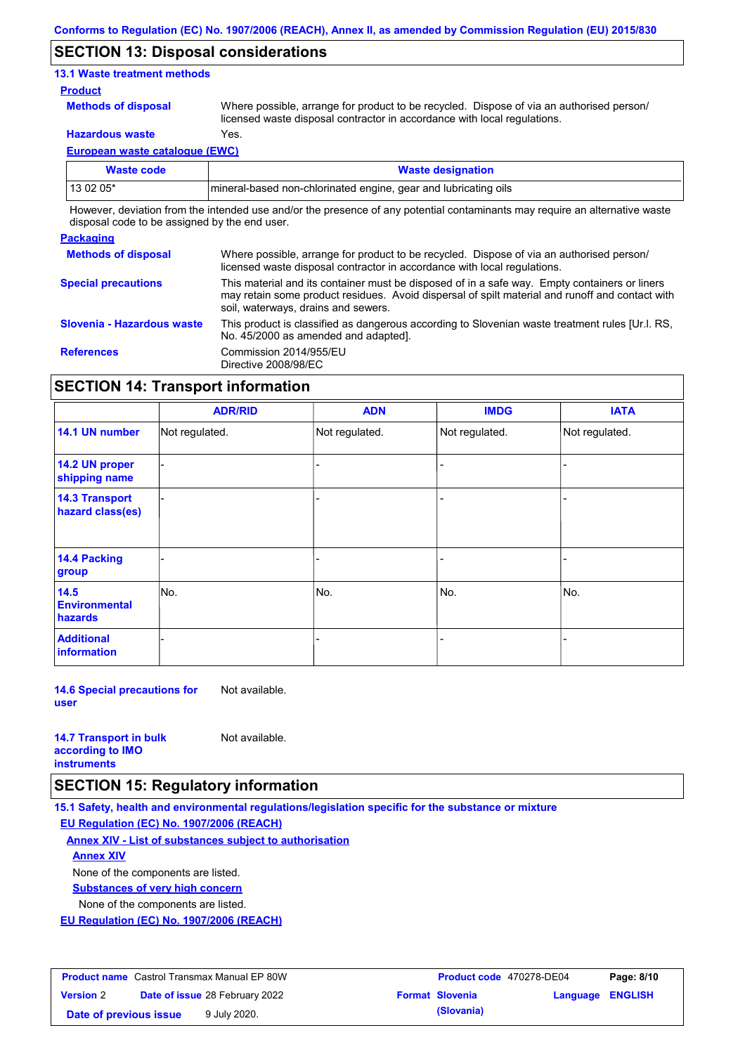### **SECTION 13: Disposal considerations**

### **13.1 Waste treatment methods**

#### **Product**

**Methods of disposal**

Where possible, arrange for product to be recycled. Dispose of via an authorised person/ licensed waste disposal contractor in accordance with local regulations.

**Hazardous waste** Yes.

**European waste catalogue (EWC)**

| <b>Waste code</b> | <b>Waste designation</b>                                         |
|-------------------|------------------------------------------------------------------|
| 13 02 05*         | Imineral-based non-chlorinated engine, gear and lubricating oils |

However, deviation from the intended use and/or the presence of any potential contaminants may require an alternative waste disposal code to be assigned by the end user.

| <b>Packaging</b>           |                                                                                                                                                                                                                                         |
|----------------------------|-----------------------------------------------------------------------------------------------------------------------------------------------------------------------------------------------------------------------------------------|
| <b>Methods of disposal</b> | Where possible, arrange for product to be recycled. Dispose of via an authorised person/<br>licensed waste disposal contractor in accordance with local regulations.                                                                    |
| <b>Special precautions</b> | This material and its container must be disposed of in a safe way. Empty containers or liners<br>may retain some product residues. Avoid dispersal of spilt material and runoff and contact with<br>soil, waterways, drains and sewers. |
| Slovenia - Hazardous waste | This product is classified as dangerous according to Slovenian waste treatment rules [Ur.l. RS.<br>No. 45/2000 as amended and adapted].                                                                                                 |
| <b>References</b>          | Commission 2014/955/EU<br>Directive 2008/98/EC                                                                                                                                                                                          |

## **SECTION 14: Transport information**

|                                                | <b>ADR/RID</b> | <b>ADN</b>     | <b>IMDG</b>    | <b>IATA</b>    |
|------------------------------------------------|----------------|----------------|----------------|----------------|
| 14.1 UN number                                 | Not regulated. | Not regulated. | Not regulated. | Not regulated. |
| 14.2 UN proper<br>shipping name                |                |                |                |                |
| <b>14.3 Transport</b><br>hazard class(es)      |                |                |                |                |
| 14.4 Packing<br>group                          |                |                |                |                |
| 14.5<br><b>Environmental</b><br><b>hazards</b> | lNo.           | No.            | No.            | No.            |
| <b>Additional</b><br>information               |                |                |                |                |

**14.6 Special precautions for user** Not available.

#### **14.7 Transport in bulk according to IMO instruments**

### **SECTION 15: Regulatory information**

**15.1 Safety, health and environmental regulations/legislation specific for the substance or mixture**

**EU Regulation (EC) No. 1907/2006 (REACH)**

### **Annex XIV - List of substances subject to authorisation**

Not available.

**Annex XIV**

None of the components are listed.

**Substances of very high concern**

None of the components are listed.

**EU Regulation (EC) No. 1907/2006 (REACH)**

| <b>Product name</b> Castrol Transmax Manual EP 80W |                                       |              | <b>Product code</b> 470278-DE04 | Page: 8/10             |                  |  |
|----------------------------------------------------|---------------------------------------|--------------|---------------------------------|------------------------|------------------|--|
| <b>Version 2</b>                                   | <b>Date of issue 28 February 2022</b> |              |                                 | <b>Format Slovenia</b> | Language ENGLISH |  |
| Date of previous issue                             |                                       | 9 July 2020. |                                 | (Slovania)             |                  |  |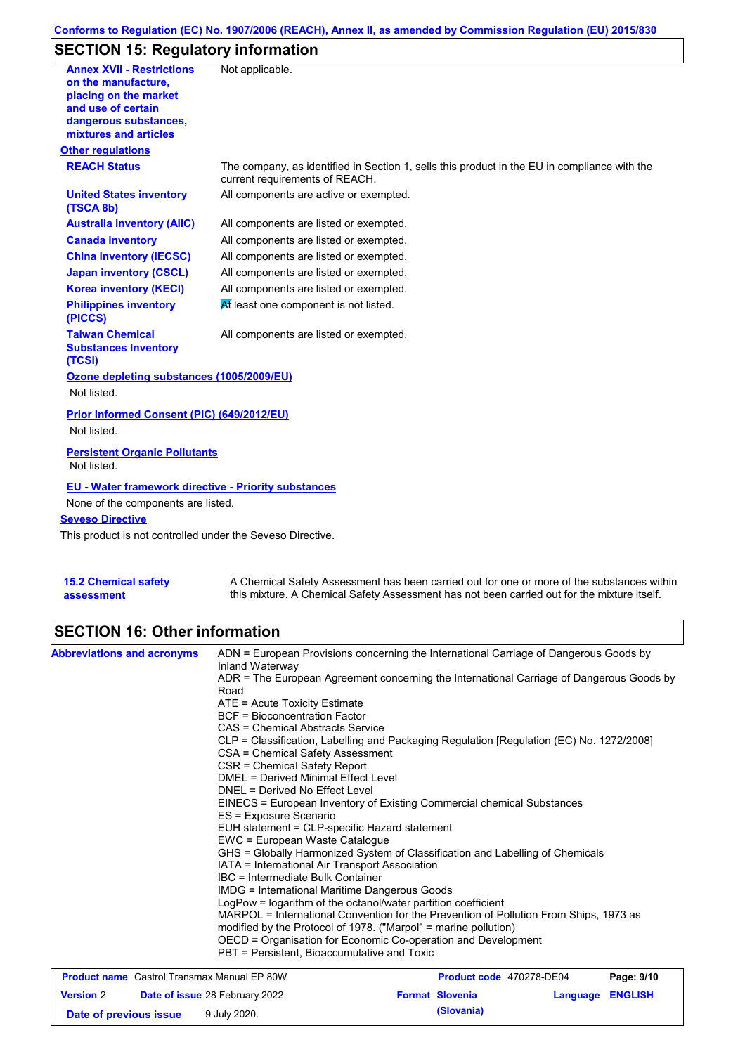## **Conforms to Regulation (EC) No. 1907/2006 (REACH), Annex II, as amended by Commission Regulation (EU) 2015/830**

# **SECTION 15: Regulatory information**

| <b>Annex XVII - Restrictions</b><br>on the manufacture.<br>placing on the market<br>and use of certain<br>dangerous substances,<br>mixtures and articles | Not applicable.                                                                                                                |
|----------------------------------------------------------------------------------------------------------------------------------------------------------|--------------------------------------------------------------------------------------------------------------------------------|
| <b>Other regulations</b>                                                                                                                                 |                                                                                                                                |
| <b>REACH Status</b>                                                                                                                                      | The company, as identified in Section 1, sells this product in the EU in compliance with the<br>current requirements of REACH. |
| <b>United States inventory</b><br>(TSCA 8b)                                                                                                              | All components are active or exempted.                                                                                         |
| <b>Australia inventory (AIIC)</b>                                                                                                                        | All components are listed or exempted.                                                                                         |
| <b>Canada inventory</b>                                                                                                                                  | All components are listed or exempted.                                                                                         |
| <b>China inventory (IECSC)</b>                                                                                                                           | All components are listed or exempted.                                                                                         |
| <b>Japan inventory (CSCL)</b>                                                                                                                            | All components are listed or exempted.                                                                                         |
| <b>Korea inventory (KECI)</b>                                                                                                                            | All components are listed or exempted.                                                                                         |
| <b>Philippines inventory</b><br>(PICCS)                                                                                                                  | At least one component is not listed.                                                                                          |
| <b>Taiwan Chemical</b><br><b>Substances Inventory</b><br>(TCSI)                                                                                          | All components are listed or exempted.                                                                                         |
| Ozone depleting substances (1005/2009/EU)                                                                                                                |                                                                                                                                |
| Not listed.                                                                                                                                              |                                                                                                                                |
| Prior Informed Consent (PIC) (649/2012/EU)<br>Not listed.                                                                                                |                                                                                                                                |
| <b>Persistent Organic Pollutants</b><br>Not listed.                                                                                                      |                                                                                                                                |
| <b>EU - Water framework directive - Priority substances</b>                                                                                              |                                                                                                                                |
| None of the components are listed.                                                                                                                       |                                                                                                                                |
| <b>Seveso Directive</b>                                                                                                                                  |                                                                                                                                |
| This product is not controlled under the Seveso Directive.                                                                                               |                                                                                                                                |
|                                                                                                                                                          |                                                                                                                                |

| <b>15.2 Chemical safety</b> | A Chemical Safety Assessment has been carried out for one or more of the substances within  |
|-----------------------------|---------------------------------------------------------------------------------------------|
| assessment                  | this mixture. A Chemical Safety Assessment has not been carried out for the mixture itself. |

## **SECTION 16: Other information**

| <b>Abbreviations and acronyms</b>                  | Inland Waterway                                                 | ADN = European Provisions concerning the International Carriage of Dangerous Goods by    |            |
|----------------------------------------------------|-----------------------------------------------------------------|------------------------------------------------------------------------------------------|------------|
|                                                    | Road                                                            | ADR = The European Agreement concerning the International Carriage of Dangerous Goods by |            |
|                                                    | $ATE = Acute Toxicity Estimate$                                 |                                                                                          |            |
|                                                    | <b>BCF</b> = Bioconcentration Factor                            |                                                                                          |            |
|                                                    | CAS = Chemical Abstracts Service                                |                                                                                          |            |
|                                                    | CSA = Chemical Safety Assessment                                | CLP = Classification, Labelling and Packaging Regulation [Regulation (EC) No. 1272/2008] |            |
|                                                    | CSR = Chemical Safety Report                                    |                                                                                          |            |
|                                                    | DMEL = Derived Minimal Effect Level                             |                                                                                          |            |
|                                                    | DNEL = Derived No Effect Level                                  |                                                                                          |            |
|                                                    |                                                                 | EINECS = European Inventory of Existing Commercial chemical Substances                   |            |
|                                                    | ES = Exposure Scenario                                          |                                                                                          |            |
|                                                    | EUH statement = CLP-specific Hazard statement                   |                                                                                          |            |
|                                                    | EWC = European Waste Catalogue                                  |                                                                                          |            |
|                                                    |                                                                 | GHS = Globally Harmonized System of Classification and Labelling of Chemicals            |            |
|                                                    | IATA = International Air Transport Association                  |                                                                                          |            |
|                                                    | IBC = Intermediate Bulk Container                               |                                                                                          |            |
|                                                    | <b>IMDG</b> = International Maritime Dangerous Goods            |                                                                                          |            |
|                                                    | LogPow = logarithm of the octanol/water partition coefficient   |                                                                                          |            |
|                                                    | modified by the Protocol of 1978. ("Marpol" = marine pollution) | MARPOL = International Convention for the Prevention of Pollution From Ships, 1973 as    |            |
|                                                    | OECD = Organisation for Economic Co-operation and Development   |                                                                                          |            |
|                                                    | PBT = Persistent, Bioaccumulative and Toxic                     |                                                                                          |            |
| <b>Product name</b> Castrol Transmax Manual EP 80W |                                                                 | Product code 470278-DE04                                                                 | Page: 9/10 |

| <b>Product name</b> Castrol Transmax Manual EP 80W |  |                                       | <b>Product code</b> 470278-DE04 |                        | Page: 9/10       |  |
|----------------------------------------------------|--|---------------------------------------|---------------------------------|------------------------|------------------|--|
| <b>Version 2</b>                                   |  | <b>Date of issue 28 February 2022</b> |                                 | <b>Format Slovenia</b> | Language ENGLISH |  |
| Date of previous issue                             |  | 9 July 2020.                          |                                 | (Slovania)             |                  |  |